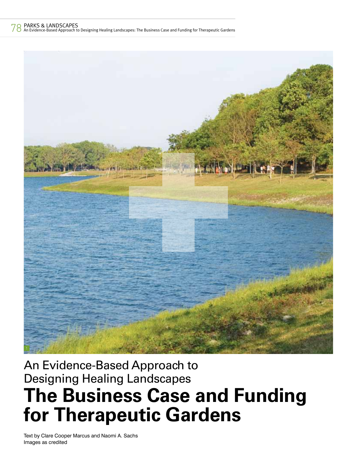## 78 PARKS & LANDSCAPES

An Evidence-Based Approach to Designing Healing Landscapes: The Business Case and Funding for Therapeutic Gardens



# **The Business Case and Funding for)Therapeutic)Gardens** An Evidence-Based Approach to Designing Healing Landscapes

Text by Clare Cooper Marcus and Naomi A. Sachs Images as credited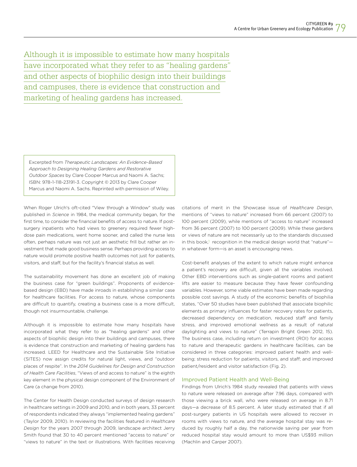Although it is impossible to estimate how many hospitals have incorporated what they refer to as "healing gardens" and other aspects of biophilic design into their buildings and campuses, there is evidence that construction and marketing of healing gardens has increased.

Excerpted from *Therapeutic Landscapes: An Evidence-Based Approach to Designing Healing Gardens and Restorative Outdoor Spaces* by Clare Cooper Marcus and Naomi A. Sachs; ISBN: 978-1-118-23191-3. Copyright © 2013 by Clare Cooper Marcus and Naomi A. Sachs. Reprinted with permission of Wiley.

When Roger Ulrich's oft-cited "View through a Window" study was published in *Science* in 1984, the medical community began, for the first time, to consider the financial benefits of access to nature. If postsurgery inpatients who had views to greenery required fewer highdose pain medications, went home sooner, and called the nurse less often, perhaps nature was not just an aesthetic frill but rather an investment that made good business sense. Perhaps providing access to nature would promote positive health outcomes not just for patients, visitors, and staff, but for the facility's financial status as well.

The sustainability movement has done an excellent job of making the business case for "green buildings". Proponents of evidencebased design (EBD) have made inroads in establishing a similar case for healthcare facilities. For access to nature, whose components are difficult to quantify, creating a business case is a more difficult, though not insurmountable, challenge.

Although it is impossible to estimate how many hospitals have incorporated what they refer to as "healing gardens" and other aspects of biophilic design into their buildings and campuses, there is evidence that construction and marketing of healing gardens has increased. LEED for Healthcare and the Sustainable Site Initiative (SITES) now assign credits for natural light, views, and "outdoor places of respite". In the *2014 Guidelines for Design and Construction of Health Care Facilities*, "Views of and access to nature" is the eighth key element in the physical design component of the Environment of Care (a change from 2010).

The Center for Health Design conducted surveys of design research in healthcare settings in 2009 and 2010, and in both years, 33 percent of respondents indicated they always "implemented healing gardens" (Taylor 2009, 2010). In reviewing the facilities featured in *Healthcare Design* for the years 2007 through 2009, landscape architect Jerry Smith found that 30 to 40 percent mentioned "access to nature" or "views to nature" in the text or illustrations. With facilities receiving

citations of merit in the Showcase issue of *Healthcare Design*, mentions of "views to nature" increased from 66 percent (2007) to 100 percent (2009), while mentions of "access to nature" increased from 36 percent (2007) to 100 percent (2009). While these gardens or views of nature are not necessarily up to the standards discussed in this book,<sup>1</sup> recognition in the medical design world that "nature"in whatever form—is an asset is encouraging news.

Cost-benefit analyses of the extent to which nature might enhance a patient's recovery are difficult, given all the variables involved. Other EBD interventions such as single-patient rooms and patient lifts are easier to measure because they have fewer confounding variables. However, some viable estimates have been made regarding possible cost savings. A study of the economic benefits of biophilia states, "Over 50 studies have been published that associate biophilic elements as primary influences for faster recovery rates for patients, decreased dependency on medication, reduced staff and family stress, and improved emotional wellness as a result of natural daylighting and views to nature" (Terrapin Bright Green 2012, 15). The business case, including return on investment (ROI) for access to nature and therapeutic gardens in healthcare facilities, can be considered in three categories: improved patient health and wellbeing; stress reduction for patients, visitors, and staff; and improved patient/resident and visitor satisfaction (Fig. 2).

### Improved Patient Health and Well-Being

Findings from Ulrich's 1984 study revealed that patients with views to nature were released on average after 7.96 days, compared with those viewing a brick wall, who were released on average in 8.71 days—a decrease of 8.5 percent. A later study estimated that if all post-surgery patients in US hospitals were allowed to recover in rooms with views to nature, and the average hospital stay was reduced by roughly half a day, the nationwide saving per year from reduced hospital stay would amount to more than US\$93 million (Machlin and Carper 2007).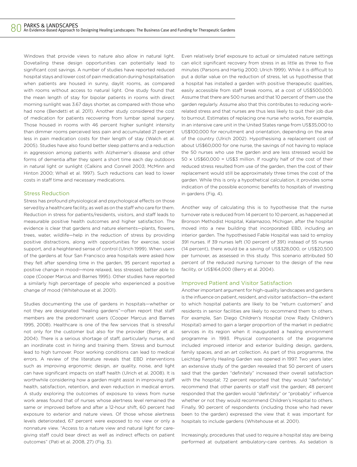Windows that provide views to nature also allow in natural light. Dovetailing these design opportunities can potentially lead to significant cost savings. A number of studies have reported reduced hospital stays and lower cost of pain medication during hospitalisation when patients are housed in sunny, daylit rooms, as compared with rooms without access to natural light. One study found that the mean length of stay for bipolar patients in rooms with direct morning sunlight was 3.67 days shorter, as compared with those who had none (Bendetti et al. 2011). Another study considered the cost of medication for patients recovering from lumbar spinal surgery. Those housed in rooms with 46 percent higher sunlight intensity than dimmer rooms perceived less pain and accumulated 21 percent less in pain medication costs for their length of stay (Walch et al. 2005). Studies have also found better sleep patterns and a reduction in aggression among patients with Alzheimer's disease and other forms of dementia after they spent a short time each day outdoors in natural light or sunlight (Calkins and Connell 2003; McMinn and Hinton 2000; Whall et al. 1997). Such reductions can lead to lower costs in staff time and necessary medications.

#### Stress Reduction

Stress has profound physiological and psychological effects on those served by a healthcare facility, as well as on the staff who care for them. Reduction in stress for patients/residents, visitors, and staff leads to measurable positive health outcomes and higher satisfaction. The evidence is clear that gardens and nature elements—plants, flowers, trees, water, wildlife—help in the reduction of stress by providing positive distractions, along with opportunities for exercise, social support, and a heightened sense of control (Ulrich 1999). When users of the gardens at four San Francisco area hospitals were asked how they felt after spending time in the garden, 95 percent reported a positive change in mood—more relaxed, less stressed, better able to cope (Cooper Marcus and Barnes 1995). Other studies have reported a similarly high percentage of people who experienced a positive change of mood (Whitehouse et al. 2001).

Studies documenting the use of gardens in hospitals—whether or not they are designated "healing gardens"—often report that staff members are the predominant users (Cooper Marcus and Barnes 1995, 2008). Healthcare is one of the few services that is stressful not only for the customer but also for the provider (Berry et al. 2004). There is a serious shortage of staff, particularly nurses, and an inordinate cost in hiring and training them. Stress and burnout lead to high turnover. Poor working conditions can lead to medical errors. A review of the literature reveals that EBD interventions such as improving ergonomic design, air quality, noise, and light can have significant impacts on staff health (Ulrich et al. 2008). It is worthwhile considering how a garden might assist in improving staff health, satisfaction, retention, and even reduction in medical errors. A study exploring the outcomes of exposure to views from nurse work areas found that of nurses whose alertness level remained the same or improved before and after a 12-hour shift, 60 percent had exposure to exterior and nature views. Of those whose alertness levels deteriorated, 67 percent were exposed to no view or only a nonnature view. "Access to a nature view and natural light for caregiving staff could bear direct as well as indirect effects on patient outcomes" (Pati et al. 2008, 27) (Fig. 3).

Even relatively brief exposure to actual or simulated nature settings can elicit significant recovery from stress in as little as three to five minutes (Parsons and Hartig 2000; Ulrich 1999). While it is difficult to put a dollar value on the reduction of stress, let us hypothesise that a hospital has installed a garden with positive therapeutic qualities, easily accessible from staff break rooms, at a cost of US\$500,000. Assume that there are 500 nurses and that 10 percent of them use the garden regularly. Assume also that this contributes to reducing workrelated stress and that nurses are thus less likely to quit their job due to burnout. Estimates of replacing one nurse who works, for example, in an intensive care unit in the United States range from US\$35,000 to US\$100,000 for recruitment and orientation, depending on the area of the country (Ulrich 2002). Hypothesising a replacement cost of about US\$60,000 for one nurse, the savings of not having to replace the 50 nurses who use the garden and are less stressed would be  $50 \times U$ S\$60,000 = US\$3 million. If roughly half of the cost of their reduced stress resulted from use of the garden, then the cost of their replacement would still be approximately three times the cost of the garden. While this is only a hypothetical calculation, it provides some indication of the possible economic benefits to hospitals of investing in gardens (Fig. 4).

Another way of calculating this is to hypothesise that the nurse turnover rate is reduced from 14 percent to 10 percent, as happened at Bronson Methodist Hospital, Kalamazoo, Michigan, after the hospital moved into a new building that incorporated EBD, including an interior garden. The hypothesised Fable Hospital was said to employ 391 nurses. If 39 nurses left (10 percent of 391) instead of 55 nurses (14 percent), there would be a saving of US\$328,000, or US\$20,500 per turnover, as assessed in this study. This scenario attributed 50 percent of the reduced nursing turnover to the design of the new facility, or US\$164,000 (Berry et al. 2004).

#### Improved Patient and Visitor Satisfaction

Another important argument for high-quality landscapes and gardens is the influence on patient, resident, and visitor satisfaction—the extent to which hospital patients are likely to be "return customers" and residents in senior facilities are likely to recommend them to others. For example, San Diego Children's Hospital (now Rady Children's Hospital) aimed to gain a larger proportion of the market in pediatric services in its region when it inaugurated a healing environment programme in 1993. Physical components of the programme included improved interior and exterior building design, gardens, family spaces, and an art collection. As part of this programme, the Leichtag Family Healing Garden was opened in 1997. Two years later, an extensive study of the garden revealed that 50 percent of users said that the garden "definitely" increased their overall satisfaction with the hospital; 72 percent reported that they would "definitely" recommend that other parents or staff visit the garden; 48 percent responded that the garden would "definitely" or "probably" influence whether or not they would recommend Children's Hospital to others. Finally, 90 percent of respondents (including those who had never been to the garden) expressed the view that it was important for hospitals to include gardens (Whitehouse et al. 2001).

Increasingly, procedures that used to require a hospital stay are being performed at outpatient ambulatory-care centres. As sedation is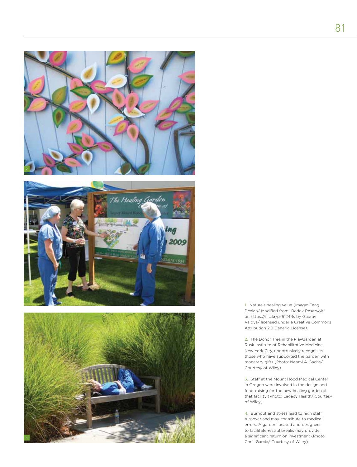





1. Nature's healing value (Image: Feng Dexian/ Modified from "Bedok Reservoir" on https://flic.kr/p/6124Rs by Gaurav Vaidya/ licensed under a Creative Commons Attribution 2.0 Generic License).

2. The Donor Tree in the PlayGarden at Rusk Institute of Rehabilitative Medicine, New York City, unobtrusively recognises those who have supported the garden with monetary gifts (Photo: Naomi A. Sachs/ Courtesy of Wiley).

3. Staff at the Mount Hood Medical Center in Oregon were involved in the design and fund-raising for the new healing garden at that facility (Photo: Legacy Health/ Courtesy of Wiley)

4. Burnout and stress lead to high staff turnover and may contribute to medical errors. A garden located and designed to facilitate restful breaks may provide a significant return on investment (Photo: Chris Garcia/ Courtesy of Wiley).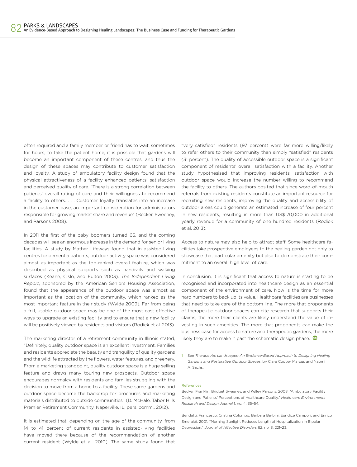often required and a family member or friend has to wait, sometimes for hours, to take the patient home, it is possible that gardens will become an important component of these centres, and thus the design of these spaces may contribute to customer satisfaction and loyalty. A study of ambulatory facility design found that the physical attractiveness of a facility enhanced patients' satisfaction and perceived quality of care. "There is a strong correlation between patients' overall rating of care and their willingness to recommend a facility to others. . . . Customer loyalty translates into an increase in the customer base, an important consideration for administrators responsible for growing market share and revenue" (Becker, Sweeney, and Parsons 2008).

In 2011 the first of the baby boomers turned 65, and the coming decades will see an enormous increase in the demand for senior living facilities. A study by Mather Lifeways found that in assisted-living centres for dementia patients, outdoor activity space was considered almost as important as the top-ranked overall feature, which was described as physical supports such as handrails and walking surfaces (Keane, Cislo, and Fulton 2003). *The Independent Living Report*, sponsored by the American Seniors Housing Association, found that the appearance of the outdoor space was almost as important as the location of the community, which ranked as the most important feature in their study (Wylde 2009). Far from being a frill, usable outdoor space may be one of the most cost-effective ways to upgrade an existing facility and to ensure that a new facility will be positively viewed by residents and visitors (Rodiek et al. 2013).

The marketing director of a retirement community in Illinois stated, "Definitely, quality outdoor space is an excellent investment. Families and residents appreciate the beauty and tranquility of quality gardens and the wildlife attracted by the flowers, water features, and greenery. From a marketing standpoint, quality outdoor space is a huge selling feature and draws many touring new prospects. Outdoor space encourages normalcy with residents and families struggling with the decision to move from a home to a facility. These same gardens and outdoor space become the backdrop for brochures and marketing materials distributed to outside communities" (D. McHale, Tabor Hills Premier Retirement Community, Naperville, IL, pers. comm., 2012).

It is estimated that, depending on the age of the community, from 14 to 41 percent of current residents in assisted-living facilities have moved there because of the recommendation of another current resident (Wylde et al. 2010). The same study found that

"very satisfied" residents (97 percent) were far more willing/likely to refer others to their community than simply "satisfied" residents (31 percent). The quality of accessible outdoor space is a significant component of residents' overall satisfaction with a facility. Another study hypothesised that improving residents' satisfaction with outdoor space would increase the number willing to recommend the facility to others. The authors posited that since word-of-mouth referrals from existing residents constitute an important resource for recruiting new residents, improving the quality and accessibility of outdoor areas could generate an estimated increase of four percent in new residents, resulting in more than US\$170,000 in additional yearly revenue for a community of one hundred residents (Rodiek et al. 2013).

Access to nature may also help to attract staff. Some healthcare facilities take prospective employees to the healing garden not only to showcase that particular amenity but also to demonstrate their commitment to an overall high level of care.

In conclusion, it is significant that access to nature is starting to be recognised and incorporated into healthcare design as an essential component of the environment of care. Now is the time for more hard numbers to back up its value. Healthcare facilities are businesses that need to take care of the bottom line. The more that proponents of therapeutic outdoor spaces can cite research that supports their claims, the more their clients are likely understand the value of investing in such amenities. The more that proponents can make the business case for access to nature and therapeutic gardens, the more likely they are to make it past the schematic design phase.  $\bullet$ 

1 See *Therapeutic Landscapes: An Evidence-Based Approach to Designing Healing Gardens and Restorative Outdoor Spaces*, by Clare Cooper Marcus and Naomi A. Sachs.

#### **References**

Becker, Franklin, Bridget Sweeney, and Kelley Parsons. 2008. "Ambulatory Facility Design and Patients' Perceptions of Healthcare Quality." *Healthcare Environments Research and Design Journal* 1, no. 4: 35–54.

Bendetti, Francesco, Cristina Colombo, Barbara Barbini, Euridice Campori, and Enrico Smeraldi. 2001. "Morning Sunlight Reduces Length of Hospitalization in Bipolar Depression." *Journal of A!ective Disorders* 62, no. 3: 221–23.